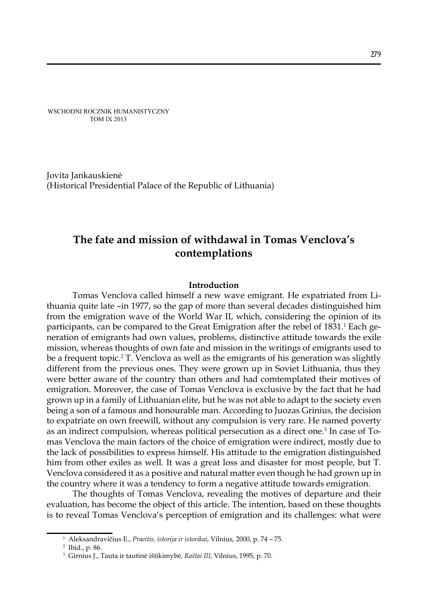WSCHODNI ROCZNIK HUMANISTYCZNY TOM IX 2013

Jovita Jankauskienė (Historical Presidential Palace of the Republic of Lithuania)

# **The fate and mission of withdawal in Tomas Venclova's contemplations**

# **Introduction**

Tomas Venclova called himself a new wave emigrant. He expatriated from Lithuania quite late –in 1977, so the gap of more than several decades distinguished him from the emigration wave of the World War II, which, considering the opinion of its participants, can be compared to the Great Emigration after the rebel of 1831.<sup>1</sup> Each generation of emigrants had own values, problems, distinctive attitude towards the exile mission, whereas thoughts of own fate and mission in the writings of emigrants used to be a frequent topic.2 T. Venclova as well as the emigrants of his generation was slightly different from the previous ones. They were grown up in Soviet Lithuania, thus they were better aware of the country than others and had comtemplated their motives of emigration. Moreover, the case of Tomas Venclova is exclusive by the fact that he had grown up in a family of Lithuanian elite, but he was not able to adapt to the society even being a son of a famous and honourable man. According to Juozas Grinius, the decision to expatriate on own freewill, without any compulsion is very rare. He named poverty as an indirect compulsion, whereas political persecution as a direct one.<sup>3</sup> In case of Tomas Venclova the main factors of the choice of emigration were indirect, mostly due to the lack of possibilities to express himself. His attitude to the emigration distinguished him from other exiles as well. It was a great loss and disaster for most people, but T. Venclova considered it as a positive and natural matter even though he had grown up in the country where it was a tendency to form a negative attitude towards emigration.

The thoughts of Tomas Venclova, revealing the motives of departure and their evaluation, has become the object of this article. The intention, based on these thoughts is to reveal Tomas Venclova's perception of emigration and its challenges: what were

<sup>1</sup> Aleksandravičius E., *Praeitis, istorija ir istorikai*, Vilnius, 2000, p. 74 – 75.

<sup>2</sup> Ibid., p. 86.

<sup>3</sup> Girnius J., Tauta ir tautinė ištikimybė*, Raštai III*, Vilnius, 1995, p. 70.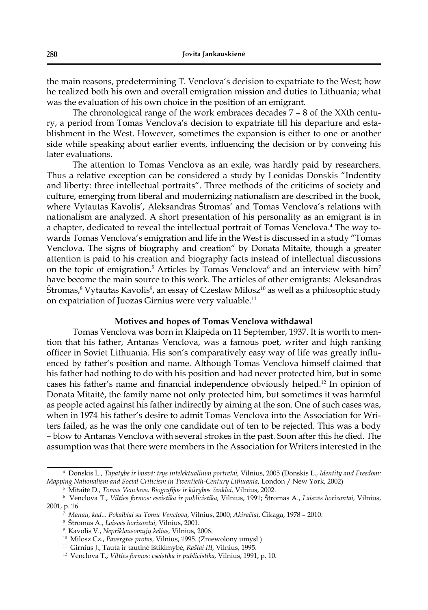the main reasons, predetermining T. Venclova's decision to expatriate to the West; how he realized both his own and overall emigration mission and duties to Lithuania; what was the evaluation of his own choice in the position of an emigrant.

The chronological range of the work embraces decades 7 – 8 of the XXth century, a period from Tomas Venclova's decision to expatriate till his departure and establishment in the West. However, sometimes the expansion is either to one or another side while speaking about earlier events, influencing the decision or by conveing his later evaluations.

The attention to Tomas Venclova as an exile, was hardly paid by researchers. Thus a relative exception can be considered a study by Leonidas Donskis "Indentity and liberty: three intellectual portraits". Three methods of the criticims of society and culture, emerging from liberal and modernizing nationalism are described in the book, where Vytautas Kavolis', Aleksandras Štromas' and Tomas Venclova's relations with nationalism are analyzed. A short presentation of his personality as an emigrant is in a chapter, dedicated to reveal the intellectual portrait of Tomas Venclova.4 The way towards Tomas Venclova's emigration and life in the West is discussed in a study "Tomas Venclova. The signs of biography and creation" by Donata Mitaitė, though a greater attention is paid to his creation and biography facts instead of intellectual discussions on the topic of emigration.<sup>5</sup> Articles by Tomas Venclova<sup>6</sup> and an interview with him<sup>7</sup> have become the main source to this work. The articles of other emigrants: Aleksandras Stromas,<sup>8</sup> Vytautas Kavolis<sup>9</sup>, an essay of Czeslaw Milosz<sup>10</sup> as well as a philosophic study on expatriation of Juozas Girnius were very valuable.11

# **Motives and hopes of Tomas Venclova withdawal**

Tomas Venclova was born in Klaipėda on 11 September, 1937. It is worth to mention that his father, Antanas Venclova, was a famous poet, writer and high ranking officer in Soviet Lithuania. His son's comparatively easy way of life was greatly influenced by father's position and name. Although Tomas Venclova himself claimed that his father had nothing to do with his position and had never protected him, but in some cases his father's name and financial independence obviously helped.<sup>12</sup> In opinion of Donata Mitaitė, the family name not only protected him, but sometimes it was harmful as people acted against his father indirectly by aiming at the son. One of such cases was, when in 1974 his father's desire to admit Tomas Venclova into the Association for Writers failed, as he was the only one candidate out of ten to be rejected. This was a body – blow to Antanas Venclova with several strokes in the past. Soon after this he died. The assumption was that there were members in the Association for Writers interested in the

<sup>4</sup> Donskis L., *Tapatybė ir laisvė: trys intelektualiniai portretai,* Vilnius, 2005 (Donskis L., *Identity and Freedom: Mapping Nationalism and Social Criticism in Twentieth-Century Lithuania*, London / New York, 2002)

<sup>5</sup> Mitaitė D., *Tomas Venclova. Biografi jos ir kūrybos ženklai,* Vilnius, 2002.

<sup>6</sup> Venclova T., *Vilties formos: eseistika ir publicistika,* Vilnius, 1991; Štromas A., *Laisvės horizontai,* Vilnius, 2001, p. 16.

<sup>7</sup> *Manau, kad... Pokalbiai su Tomu Venclova*, Vilnius, 2000; *Akiračiai*, Čikaga, 1978 – 2010.

<sup>8</sup> Štromas A., *Laisvės horizontai,* Vilnius, 2001.

<sup>9</sup> Kavolis V., *Nepriklausomųjų kelias,* Vilnius, 2006.

<sup>10</sup> Milosz Cz., *Pavergtas protas,* Vilnius, 1995. (Zniewolony umysł )

<sup>11</sup> Girnius J., Tauta ir tautinė ištikimybė, *Raštai III,* Vilnius, 1995.

<sup>12</sup> Venclova T., *Vilties formos: eseistika ir publicistika,* Vilnius, 1991, p. 10.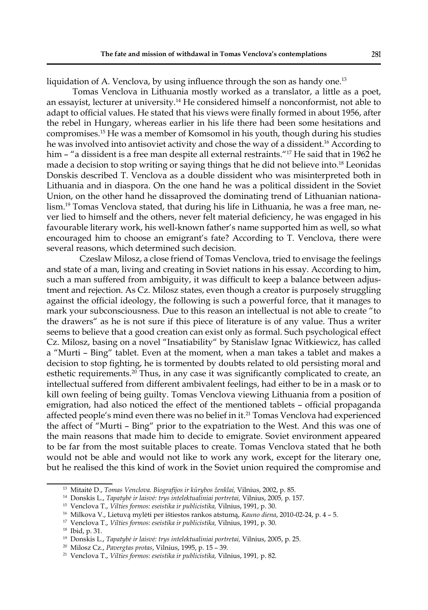liquidation of A. Venclova, by using influence through the son as handy one.<sup>13</sup>

Tomas Venclova in Lithuania mostly worked as a translator, a little as a poet, an essayist, lecturer at university.14 He considered himself a nonconformist, not able to adapt to official values. He stated that his views were finally formed in about 1956, after the rebel in Hungary, whereas earlier in his life there had been some hesitations and compromises.15 He was a member of Komsomol in his youth, though during his studies he was involved into antisoviet activity and chose the way of a dissident.16 According to him – "a dissident is a free man despite all external restraints."<sup>17</sup> He said that in 1962 he made a decision to stop writing or saying things that he did not believe into.<sup>18</sup> Leonidas Donskis described T. Venclova as a double dissident who was misinterpreted both in Lithuania and in diaspora. On the one hand he was a political dissident in the Soviet Union, on the other hand he dissaproved the dominating trend of Lithuanian nationalism.19 Tomas Venclova stated, that during his life in Lithuania, he was a free man, never lied to himself and the others, never felt material deficiency, he was engaged in his favourable literary work, his well-known father's name supported him as well, so what encouraged him to choose an emigrant's fate? According to T. Venclova, there were several reasons, which determined such decision.

 Czeslaw Milosz, a close friend of Tomas Venclova, tried to envisage the feelings and state of a man, living and creating in Soviet nations in his essay. According to him, such a man suffered from ambiguity, it was difficult to keep a balance between adjustment and rejection. As Cz. Milosz states, even though a creator is purposely struggling against the official ideology, the following is such a powerful force, that it manages to mark your subconsciousness. Due to this reason an intellectual is not able to create "to the drawers" as he is not sure if this piece of literature is of any value. Thus a writer seems to believe that a good creation can exist only as formal. Such psychological effect Cz. Milosz, basing on a novel "Insatiability" by Stanislaw Ignac Witkiewicz, has called a "Murti – Bing" tablet. Even at the moment, when a man takes a tablet and makes a decision to stop fighting, he is tormented by doubts related to old persisting moral and esthetic requirements.<sup>20</sup> Thus, in any case it was significantly complicated to create, an intellectual suffered from different ambivalent feelings, had either to be in a mask or to kill own feeling of being guilty. Tomas Venclova viewing Lithuania from a position of emigration, had also noticed the effect of the mentioned tablets - official propaganda affected people's mind even there was no belief in it.21 Tomas Venclova had experienced the affect of "Murti – Bing" prior to the expatriation to the West. And this was one of the main reasons that made him to decide to emigrate. Soviet environment appeared to be far from the most suitable places to create. Tomas Venclova stated that he both would not be able and would not like to work any work, except for the literary one, but he realised the this kind of work in the Soviet union required the compromise and

<sup>&</sup>lt;sup>13</sup> Mitaitė D., *Tomas Venclova. Biografijos ir kūrybos ženklai*, Vilnius, 2002, p. 85.

<sup>14</sup> Donskis L., *Tapatybė ir laisvė: trys intelektualiniai portretai,* Vilnius, 2005*,* p. 157.

<sup>15</sup> Venclova T., *Vilties formos: eseistika ir publicistika,* Vilnius, 1991, p. 30.

<sup>16</sup> Milkova V., Lietuvą mylėti per ištiestos rankos atstumą, *Kauno diena*, 2010-02-24, p. 4 – 5.

<sup>17</sup> Venclova T., *Vilties formos: eseistika ir publicistika,* Vilnius, 1991, p. 30.

<sup>18</sup> Ibid, p. 31.

<sup>19</sup> Donskis L., *Tapatybė ir laisvė: trys intelektualiniai portretai,* Vilnius, 2005, p. 25.

<sup>20</sup> Milosz Cz., *Pavergtas protas*, Vilnius, 1995, p. 15 – 39.

<sup>21</sup> Venclova T., *Vilties formos: eseistika ir publicistika,* Vilnius, 1991*,* p. 82.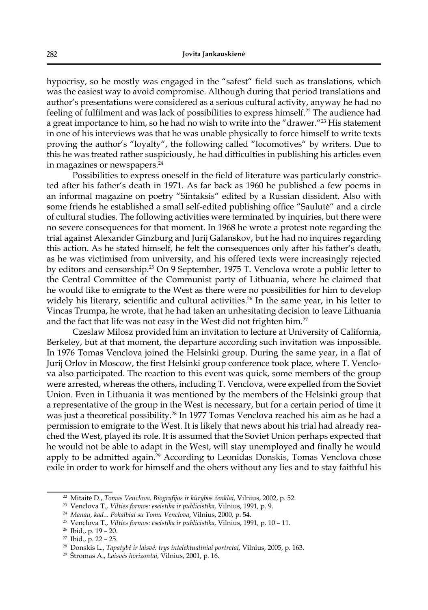hypocrisy, so he mostly was engaged in the "safest" field such as translations, which was the easiest way to avoid compromise. Although during that period translations and author's presentations were considered as a serious cultural activity, anyway he had no feeling of fulfilment and was lack of possibilities to express himself.<sup>22</sup> The audience had a great importance to him, so he had no wish to write into the "drawer."<sup>23</sup> His statement in one of his interviews was that he was unable physically to force himself to write texts proving the author's "loyalty", the following called "locomotives" by writers. Due to this he was treated rather suspiciously, he had difficulties in publishing his articles even in magazines or newspapers.<sup>24</sup>

Possibilities to express oneself in the field of literature was particularly constricted after his father's death in 1971. As far back as 1960 he published a few poems in an informal magazine on poetry "Sintaksis" edited by a Russian dissident. Also with some friends he established a small self-edited publishing office "Saulutė" and a circle of cultural studies. The following activities were terminated by inquiries, but there were no severe consequences for that moment. In 1968 he wrote a protest note regarding the trial against Alexander Ginzburg and Jurij Galanskov, but he had no inquires regarding this action. As he stated himself, he felt the consequences only after his father's death, as he was victimised from university, and his offered texts were increasingly rejected by editors and censorship.25 On 9 September, 1975 T. Venclova wrote a public letter to the Central Committee of the Communist party of Lithuania, where he claimed that he would like to emigrate to the West as there were no possibilities for him to develop widely his literary, scientific and cultural activities.<sup>26</sup> In the same year, in his letter to Vincas Trumpa, he wrote, that he had taken an unhesitating decision to leave Lithuania and the fact that life was not easy in the West did not frighten him.<sup>27</sup>

Czeslaw Milosz provided him an invitation to lecture at University of California, Berkeley, but at that moment, the departure according such invitation was impossible. In 1976 Tomas Venclova joined the Helsinki group. During the same year, in a flat of Jurij Orlov in Moscow, the first Helsinki group conference took place, where T. Venclova also participated. The reaction to this event was quick, some members of the group were arrested, whereas the others, including T. Venclova, were expelled from the Soviet Union. Even in Lithuania it was mentioned by the members of the Helsinki group that a representative of the group in the West is necessary, but for a certain period of time it was just a theoretical possibility.<sup>28</sup> In 1977 Tomas Venclova reached his aim as he had a permission to emigrate to the West. It is likely that news about his trial had already reached the West, played its role. It is assumed that the Soviet Union perhaps expected that he would not be able to adapt in the West, will stay unemployed and finally he would apply to be admitted again.<sup>29</sup> According to Leonidas Donskis, Tomas Venclova chose exile in order to work for himself and the ohers without any lies and to stay faithful his

<sup>&</sup>lt;sup>22</sup> Mitaitė D., *Tomas Venclova. Biografijos ir kūrybos ženklai*, Vilnius, 2002, p. 52.

<sup>23</sup> Venclova T., *Vilties formos: eseistika ir publicistika,* Vilnius, 1991*,* p. 9.

<sup>24</sup> *Manau, kad... Pokalbiai su Tomu Venclova*, Vilnius, 2000, p. 54.

<sup>25</sup> Venclova T., *Vilties formos: eseistika ir publicistika,* Vilnius, 1991*,* p. 10 – 11.

<sup>26</sup> Ibid., p. 19 – 20.

 $27$  Ibid., p. 22 - 25.

<sup>28</sup> Donskis L., *Tapatybė ir laisvė: trys intelektualiniai portretai,* Vilnius, 2005, p. 163.

<sup>29</sup> Štromas A., *Laisvės horizontai,* Vilnius, 2001, p. 16.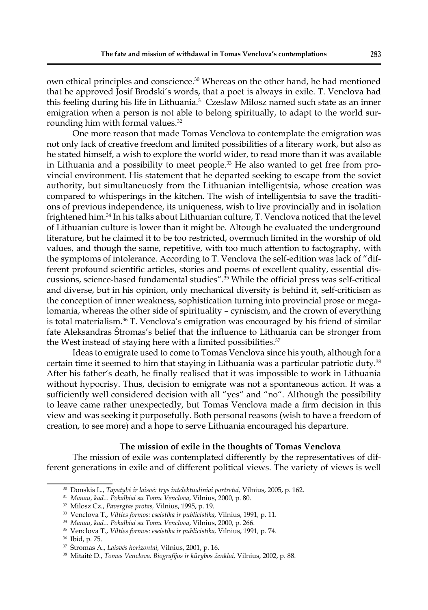own ethical principles and conscience.30 Whereas on the other hand, he had mentioned that he approved Josif Brodski's words, that a poet is always in exile. T. Venclova had this feeling during his life in Lithuania.<sup>31</sup> Czeslaw Milosz named such state as an inner emigration when a person is not able to belong spiritually, to adapt to the world surrounding him with formal values.<sup>32</sup>

One more reason that made Tomas Venclova to contemplate the emigration was not only lack of creative freedom and limited possibilities of a literary work, but also as he stated himself, a wish to explore the world wider, to read more than it was available in Lithuania and a possibility to meet people. $33$  He also wanted to get free from provincial environment. His statement that he departed seeking to escape from the soviet authority, but simultaneuosly from the Lithuanian intelligentsia, whose creation was compared to whisperings in the kitchen. The wish of intelligentsia to save the traditions of previous independence, its uniqueness, wish to live provincially and in isolation frightened him.34 In his talks about Lithuanian culture, T. Venclova noticed that the level of Lithuanian culture is lower than it might be. Altough he evaluated the underground literature, but he claimed it to be too restricted, overmuch limited in the worship of old values, and though the same, repetitive, with too much attention to factography, with the symptoms of intolerance. According to T. Venclova the self-edition was lack of "different profound scientific articles, stories and poems of excellent quality, essential discussions, science-based fundamental studies".<sup>35</sup> While the official press was self-critical and diverse, but in his opinion, only mechanical diversity is behind it, self-criticism as the conception of inner weakness, sophistication turning into provincial prose or megalomania, whereas the other side of spirituality – cyniscism, and the crown of everything is total materialism. $36$  T. Venclova's emigration was encouraged by his friend of similar fate Aleksandras Štromas's belief that the influence to Lithuania can be stronger from the West instead of staying here with a limited possibilities.<sup>37</sup>

Ideas to emigrate used to come to Tomas Venclova since his youth, although for a certain time it seemed to him that staying in Lithuania was a particular patriotic duty.38 After his father's death, he finally realised that it was impossible to work in Lithuania without hypocrisy. Thus, decision to emigrate was not a spontaneous action. It was a sufficiently well considered decision with all "yes" and "no". Although the possibility to leave came rather unexpectedly, but Tomas Venclova made a firm decision in this view and was seeking it purposefully. Both personal reasons (wish to have a freedom of creation, to see more) and a hope to serve Lithuania encouraged his departure.

## **The mission of exile in the thoughts of Tomas Venclova**

The mission of exile was contemplated differently by the representatives of different generations in exile and of different political views. The variety of views is well

<sup>30</sup> Donskis L., *Tapatybė ir laisvė: trys intelektualiniai portretai,* Vilnius, 2005, p. 162.

<sup>31</sup> *Manau, kad... Pokalbiai su Tomu Venclova*, Vilnius, 2000, p. 80.

<sup>32</sup> Milosz Cz., *Pavergtas protas,* Vilnius, 1995, p. 19.

<sup>33</sup> Venclova T., *Vilties formos: eseistika ir publicistika,* Vilnius, 1991*,* p. 11.

<sup>34</sup> *Manau, kad... Pokalbiai su Tomu Venclova*, Vilnius, 2000, p. 266.

<sup>35</sup> Venclova T., *Vilties formos: eseistika ir publicistika,* Vilnius, 1991*,* p. 74.

<sup>36</sup> Ibid, p. 75.

<sup>37</sup> Štromas A., *Laisvės horizontai,* Vilnius, 2001, p. 16.

<sup>38</sup> Mitaitė D., *Tomas Venclova. Biografi jos ir kūrybos ženklai,* Vilnius, 2002, p. 88.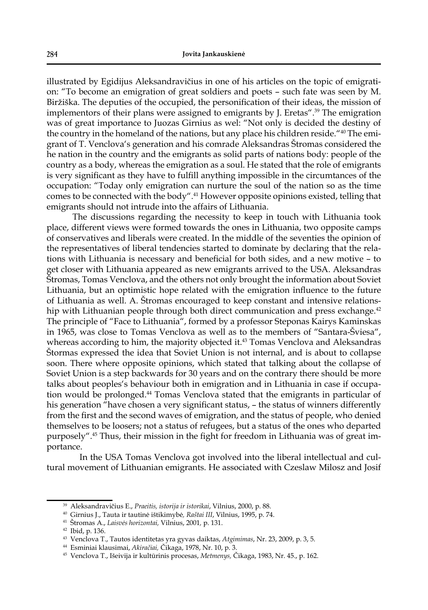illustrated by Egidijus Aleksandravičius in one of his articles on the topic of emigration: "To become an emigration of great soldiers and poets – such fate was seen by M. Biržiška. The deputies of the occupied, the personification of their ideas, the mission of implementors of their plans were assigned to emigrants by J. Eretas".39 The emigration was of great importance to Juozas Girnius as wel: "Not only is decided the destiny of the country in the homeland of the nations, but any place his children reside."<sup>40</sup> The emigrant of T. Venclova's generation and his comrade Aleksandras Štromas considered the he nation in the country and the emigrants as solid parts of nations body: people of the country as a body, whereas the emigration as a soul. He stated that the role of emigrants is very significant as they have to fulfill anything impossible in the circumtances of the occupation: "Today only emigration can nurture the soul of the nation so as the time comes to be connected with the body".41 However opposite opinions existed, telling that emigrants should not intrude into the affairs of Lithuania.

The discussions regarding the necessity to keep in touch with Lithuania took place, different views were formed towards the ones in Lithuania, two opposite camps of conservatives and liberals were created. In the middle of the seventies the opinion of the representatives of liberal tendencies started to dominate by declaring that the relations with Lithuania is necessary and beneficial for both sides, and a new motive - to get closer with Lithuania appeared as new emigrants arrived to the USA. Aleksandras Štromas, Tomas Venclova, and the others not only brought the information about Soviet Lithuania, but an optimistic hope related with the emigration influence to the future of Lithuania as well. A. Štromas encouraged to keep constant and intensive relationship with Lithuanian people through both direct communication and press exchange.<sup>42</sup> The principle of "Face to Lithuania", formed by a professor Steponas Kairys Kaminskas in 1965, was close to Tomas Venclova as well as to the members of "Santara-Šviesa", whereas according to him, the majority objected it.<sup>43</sup> Tomas Venclova and Aleksandras Štormas expressed the idea that Soviet Union is not internal, and is about to collapse soon. There where opposite opinions, which stated that talking about the collapse of Soviet Union is a step backwards for 30 years and on the contrary there should be more talks about peoples's behaviour both in emigration and in Lithuania in case if occupation would be prolonged.44 Tomas Venclova stated that the emigrants in particular of his generation "have chosen a very significant status, - the status of winners differently from the first and the second waves of emigration, and the status of people, who denied themselves to be loosers; not a status of refugees, but a status of the ones who departed purposely".<sup>45</sup> Thus, their mission in the fight for freedom in Lithuania was of great importance.

 In the USA Tomas Venclova got involved into the liberal intellectual and cultural movement of Lithuanian emigrants. He associated with Czeslaw Milosz and Josif

<sup>39</sup> Aleksandravičius E., *Praeitis, istorija ir istorikai*, Vilnius, 2000, p. 88.

<sup>40</sup> Girnius J., Tauta ir tautinė ištikimybė*, Raštai III*, Vilnius, 1995, p. 74.

<sup>41</sup> Štromas A., *Laisvės horizontai,* Vilnius, 2001*,* p. 131.

<sup>42</sup> Ibid, p. 136.

<sup>43</sup> Venclova T., Tautos identitetas yra gyvas daiktas, *Atgimimas*, Nr. 23, 2009, p. 3, 5.

<sup>44</sup> Esminiai klausimai, *Akiračiai,* Čikaga, 1978, Nr. 10, p. 3.

<sup>45</sup> Venclova T., Išeivija ir kultūrinis procesas, *Metmenys,* Čikaga, 1983, Nr. 45., p. 162.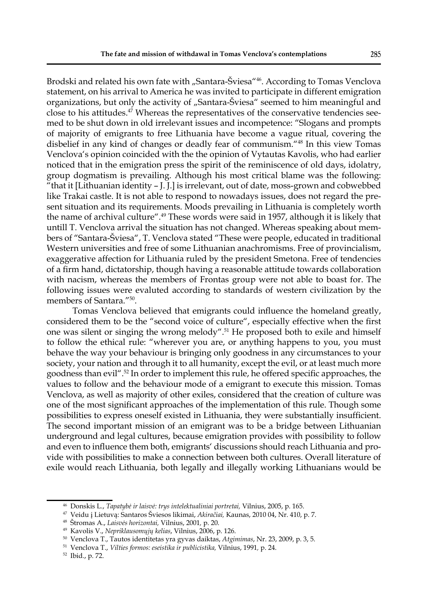Brodski and related his own fate with "Santara-Šviesa"<sup>46</sup>. According to Tomas Venclova statement, on his arrival to America he was invited to participate in different emigration organizations, but only the activity of "Santara-Šviesa" seemed to him meaningful and close to his attitudes. $47$  Whereas the representatives of the conservative tendencies seemed to be shut down in old irrelevant issues and incompetence: "Slogans and prompts of majority of emigrants to free Lithuania have become a vague ritual, covering the disbelief in any kind of changes or deadly fear of communism."48 In this view Tomas Venclova's opinion coincided with the the opinion of Vytautas Kavolis, who had earlier noticed that in the emigration press the spirit of the reminiscence of old days, idolatry, group dogmatism is prevailing. Although his most critical blame was the following: "that it [Lithuanian identity – J. J.] is irrelevant, out of date, moss-grown and cobwebbed like Trakai castle. It is not able to respond to nowadays issues, does not regard the present situation and its requirements. Moods prevailing in Lithuania is completely worth the name of archival culture".<sup>49</sup> These words were said in 1957, although it is likely that untill T. Venclova arrival the situation has not changed. Whereas speaking about members of "Santara-Šviesa", T. Venclova stated "These were people, educated in traditional Western universities and free of some Lithuanian anachromisms. Free of provincialism, exaggerative affection for Lithuania ruled by the president Smetona. Free of tendencies of a firm hand, dictatorship, though having a reasonable attitude towards collaboration with nacism, whereas the members of Frontas group were not able to boast for. The following issues were evaluted according to standards of western civilization by the members of Santara."50.

Tomas Venclova believed that emigrants could influence the homeland greatly, considered them to be the "second voice of culture", especially effective when the first one was silent or singing the wrong melody".<sup>51</sup> He proposed both to exile and himself to follow the ethical rule: "wherever you are, or anything happens to you, you must behave the way your behaviour is bringing only goodness in any circumstances to your society, your nation and through it to all humanity, except the evil, or at least much more goodness than  $evil''$ .<sup>52</sup> In order to implement this rule, he offered specific approaches, the values to follow and the behaviour mode of a emigrant to execute this mission. Tomas Venclova, as well as majority of other exiles, considered that the creation of culture was one of the most significant approaches of the implementation of this rule. Though some possibilities to express oneself existed in Lithuania, they were substantially insufficient. The second important mission of an emigrant was to be a bridge between Lithuanian underground and legal cultures, because emigration provides with possibility to follow and even to influence them both, emigrants' discussions should reach Lithuania and provide with possibilities to make a connection between both cultures. Overall literature of exile would reach Lithuania, both legally and illegally working Lithuanians would be

<sup>46</sup> Donskis L., *Tapatybė ir laisvė: trys intelektualiniai portretai,* Vilnius, 2005, p. 165.

<sup>47</sup> Veidu į Lietuvą: Santaros Šviesos likimai, *Akiračiai,* Kaunas, 2010 04, Nr. 410, p. 7.

<sup>48</sup> Štromas A., *Laisvės horizontai,* Vilnius, 2001*,* p. 20.

<sup>49</sup> Kavolis V., *Nepriklausomųjų kelias*, Vilnius, 2006, p. 126.

<sup>50</sup> Venclova T., Tautos identitetas yra gyvas daiktas, *Atgimimas*, Nr. 23, 2009, p. 3, 5.

<sup>51</sup> Venclova T., *Vilties formos: eseistika ir publicistika,* Vilnius, 1991*,* p. 24.

<sup>52</sup> Ibid., p. 72.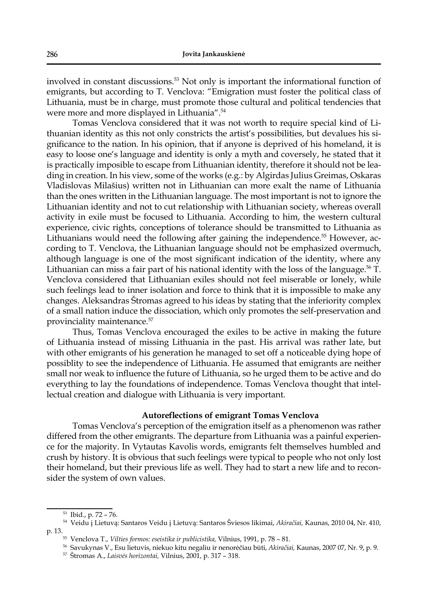involved in constant discussions.53 Not only is important the informational function of emigrants, but according to T. Venclova: "Emigration must foster the political class of Lithuania, must be in charge, must promote those cultural and political tendencies that were more and more displayed in Lithuania".54

Tomas Venclova considered that it was not worth to require special kind of Lithuanian identity as this not only constricts the artist's possibilities, but devalues his significance to the nation. In his opinion, that if anyone is deprived of his homeland, it is easy to loose one's language and identity is only a myth and coversely, he stated that it is practically imposible to escape from Lithuanian identity, therefore it should not be leading in creation. In his view, some of the works (e.g.: by Algirdas Julius Greimas, Oskaras Vladislovas Milašius) written not in Lithuanian can more exalt the name of Lithuania than the ones written in the Lithuanian language. The most important is not to ignore the Lithuanian identity and not to cut relationship with Lithuanian society, whereas overall activity in exile must be focused to Lithuania. According to him, the western cultural experience, civic rights, conceptions of tolerance should be transmitted to Lithuania as Lithuanians would need the following after gaining the independence.<sup>55</sup> However, according to T. Venclova, the Lithuanian language should not be emphasized overmuch, although language is one of the most significant indication of the identity, where any Lithuanian can miss a fair part of his national identity with the loss of the language.<sup>56</sup> T. Venclova considered that Lithuanian exiles should not feel miserable or lonely, while such feelings lead to inner isolation and force to think that it is impossible to make any changes. Aleksandras Štromas agreed to his ideas by stating that the inferiority complex of a small nation induce the dissociation, which only promotes the self-preservation and provinciality maintenance.<sup>57</sup>

Thus, Tomas Venclova encouraged the exiles to be active in making the future of Lithuania instead of missing Lithuania in the past. His arrival was rather late, but with other emigrants of his generation he managed to set off a noticeable dying hope of possiblity to see the independence of Lithuania. He assumed that emigrants are neither small nor weak to influence the future of Lithuania, so he urged them to be active and do everything to lay the foundations of independence. Tomas Venclova thought that intellectual creation and dialogue with Lithuania is very important.

### Autoreflections of emigrant Tomas Venclova

Tomas Venclova's perception of the emigration itself as a phenomenon was rather differed from the other emigrants. The departure from Lithuania was a painful experience for the majority. In Vytautas Kavolis words, emigrants felt themselves humbled and crush by history. It is obvious that such feelings were typical to people who not only lost their homeland, but their previous life as well. They had to start a new life and to reconsider the system of own values.

<sup>53</sup> Ibid., p. 72 – 76.

<sup>54</sup> Veidu į Lietuvą: Santaros Veidu į Lietuvą: Santaros Šviesos likimai, *Akiračiai,* Kaunas, 2010 04, Nr. 410, p. 13.55 Venclova T., *Vilties formos: eseistika ir publicistika,* Vilnius, 1991, p. 78 – 81.

<sup>56</sup> Savukynas V., Esu lietuvis, niekuo kitu negaliu ir nenorėčiau būti, *Akiračiai,* Kaunas, 2007 07, Nr. 9, p. 9.

<sup>57</sup> Štromas A., *Laisvės horizontai,* Vilnius, 2001, p. 317 – 318.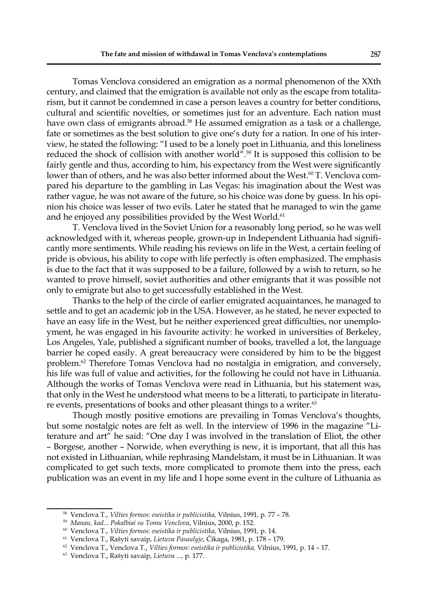Tomas Venclova considered an emigration as a normal phenomenon of the XXth century, and claimed that the emigration is available not only as the escape from totalitarism, but it cannot be condemned in case a person leaves a country for better conditions, cultural and scientific novelties, or sometimes just for an adventure. Each nation must have own class of emigrants abroad.<sup>58</sup> He assumed emigration as a task or a challenge, fate or sometimes as the best solution to give one's duty for a nation. In one of his interview, he stated the following: "I used to be a lonely poet in Lithuania, and this loneliness reduced the shock of collision with another world".59 It is supposed this collision to be fairly gentle and thus, according to him, his expectancy from the West were significantly lower than of others, and he was also better informed about the West.<sup>60</sup> T. Venclova compared his departure to the gambling in Las Vegas: his imagination about the West was rather vague, he was not aware of the future, so his choice was done by guess. In his opinion his choice was lesser of two evils. Later he stated that he managed to win the game and he enjoyed any possibilities provided by the West World.<sup>61</sup>

T. Venclova lived in the Soviet Union for a reasonably long period, so he was well acknowledged with it, whereas people, grown-up in Independent Lithuania had significantly more sentiments. While reading his reviews on life in the West, a certain feeling of pride is obvious, his ability to cope with life perfectly is often emphasized. The emphasis is due to the fact that it was supposed to be a failure, followed by a wish to return, so he wanted to prove himself, soviet authorities and other emigrants that it was possible not only to emigrate but also to get successfully established in the West.

Thanks to the help of the circle of earlier emigrated acquaintances, he managed to settle and to get an academic job in the USA. However, as he stated, he never expected to have an easy life in the West, but he neither experienced great difficulties, nor unemployment, he was engaged in his favourite activity: he worked in universities of Berkeley, Los Angeles, Yale, published a significant number of books, travelled a lot, the language barrier he coped easily. A great bereaucracy were considered by him to be the biggest problem.62 Therefore Tomas Venclova had no nostalgia in emigration, and conversely, his life was full of value and activities, for the following he could not have in Lithuania. Although the works of Tomas Venclova were read in Lithuania, but his statement was, that only in the West he understood what meens to be a litterati, to participate in literature events, presentations of books and other pleasant things to a writer.<sup>63</sup>

Though mostly positive emotions are prevailing in Tomas Venclova's thoughts, but some nostalgic notes are felt as well. In the interview of 1996 in the magazine "Literature and art" he said: "One day I was involved in the translation of Eliot, the other – Borgese, another – Norwide, when everything is new, it is important, that all this has not existed in Lithuanian, while rephrasing Mandelstam, it must be in Lithuanian. It was complicated to get such texts, more complicated to promote them into the press, each publication was an event in my life and I hope some event in the culture of Lithuania as

<sup>58</sup> Venclova T., *Vilties formos: eseistika ir publicistika,* Vilnius, 1991*,* p. 77 – 78.

<sup>59</sup> *Manau, kad... Pokalbiai su Tomu Venclova*, Vilnius, 2000, p. 152.

<sup>60</sup> Venclova T., *Vilties formos: eseistika ir publicistika,* Vilnius, 1991*,* p. 14.

<sup>61</sup> Venclova T., Rašyti savaip, *Lietuva Pasaulyje*, Čikaga, 1981, p. 178 – 179.

<sup>62</sup> Venclova T., Venclova T., *Vilties formos: eseistika ir publicistika,* Vilnius, 1991*,* p. 14 – 17.

<sup>63</sup> Venclova T., Rašyti savaip, *Lietuva ...,* p. 177.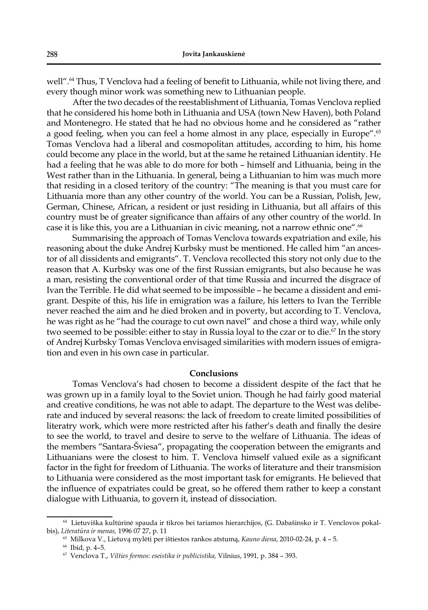well".<sup>64</sup> Thus, T Venclova had a feeling of benefit to Lithuania, while not living there, and every though minor work was something new to Lithuanian people.

After the two decades of the reestablishment of Lithuania, Tomas Venclova replied that he considered his home both in Lithuania and USA (town New Haven), both Poland and Montenegro. He stated that he had no obvious home and he considered as "rather a good feeling, when you can feel a home almost in any place, especially in Europe".65 Tomas Venclova had a liberal and cosmopolitan attitudes, according to him, his home could become any place in the world, but at the same he retained Lithuanian identity. He had a feeling that he was able to do more for both – himself and Lithuania, being in the West rather than in the Lithuania. In general, being a Lithuanian to him was much more that residing in a closed teritory of the country: "The meaning is that you must care for Lithuania more than any other country of the world. You can be a Russian, Polish, Jew, German, Chinese, African, a resident or just residing in Lithuania, but all affairs of this country must be of greater significance than affairs of any other country of the world. In case it is like this, you are a Lithuanian in civic meaning, not a narrow ethnic one".<sup>66</sup>

Summarising the approach of Tomas Venclova towards expatriation and exile, his reasoning about the duke Andrej Kurbsky must be mentioned. He called him "an ancestor of all dissidents and emigrants". T. Venclova recollected this story not only due to the reason that A. Kurbsky was one of the first Russian emigrants, but also because he was a man, resisting the conventional order of that time Russia and incurred the disgrace of Ivan the Terrible. He did what seemed to be impossible – he became a dissident and emigrant. Despite of this, his life in emigration was a failure, his letters to Ivan the Terrible never reached the aim and he died broken and in poverty, but according to T. Venclova, he was right as he "had the courage to cut own navel" and chose a third way, while only two seemed to be possible: either to stay in Russia loyal to the czar or to die.<sup>67</sup> In the story of Andrej Kurbsky Tomas Venclova envisaged similarities with modern issues of emigration and even in his own case in particular.

#### **Conclusions**

Tomas Venclova's had chosen to become a dissident despite of the fact that he was grown up in a family loyal to the Soviet union. Though he had fairly good material and creative conditions, he was not able to adapt. The departure to the West was deliberate and induced by several reasons: the lack of freedom to create limited possibilities of literatry work, which were more restricted after his father's death and finally the desire to see the world, to travel and desire to serve to the welfare of Lithuania. The ideas of the members "Santara-Šviesa", propagating the cooperation between the emigrants and Lithuanians were the closest to him. T. Venclova himself valued exile as a significant factor in the fight for freedom of Lithuania. The works of literature and their transmision to Lithuania were considered as the most important task for emigrants. He believed that the influence of expatriates could be great, so he offered them rather to keep a constant dialogue with Lithuania, to govern it, instead of dissociation.

<sup>64</sup> Lietuviška kultūrinė spauda ir tikros bei tariamos hierarchijos, (G. Dabašinsko ir T. Venclovos pokalbis), *Literatūra ir menas,* 1996 07 27, p. 11

<sup>65</sup> Milkova V., Lietuvą mylėti per ištiestos rankos atstumą, *Kauno diena*, 2010-02-24, p. 4 – 5.

<sup>66</sup> Ibid, p. 4–5.

<sup>67</sup> Venclova T., *Vilties formos: eseistika ir publicistika,* Vilnius, 1991*,* p. 384 – 393.